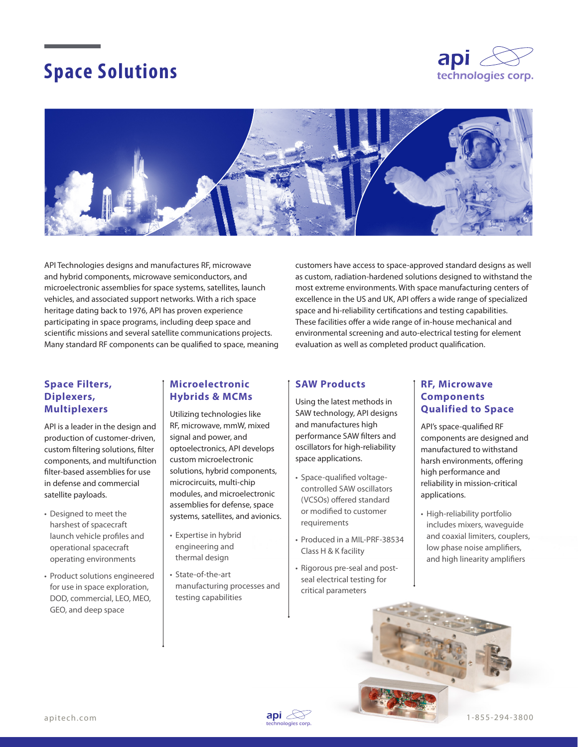# **Space Solutions**





API Technologies designs and manufactures RF, microwave and hybrid components, microwave semiconductors, and microelectronic assemblies for space systems, satellites, launch vehicles, and associated support networks. With a rich space heritage dating back to 1976, API has proven experience participating in space programs, including deep space and scientific missions and several satellite communications projects. Many standard RF components can be qualified to space, meaning customers have access to space-approved standard designs as well as custom, radiation-hardened solutions designed to withstand the most extreme environments. With space manufacturing centers of excellence in the US and UK, API offers a wide range of specialized space and hi-reliability certifications and testing capabilities. These facilities offer a wide range of in-house mechanical and environmental screening and auto-electrical testing for element evaluation as well as completed product qualification.

#### **Space Filters, Diplexers, Multiplexers**

API is a leader in the design and production of customer-driven, custom filtering solutions, filter components, and multifunction filter-based assemblies for use in defense and commercial satellite payloads.

- Designed to meet the harshest of spacecraft launch vehicle profiles and operational spacecraft operating environments
- Product solutions engineered for use in space exploration, DOD, commercial, LEO, MEO, GEO, and deep space

#### **Microelectronic Hybrids & MCMs**

Utilizing technologies like RF, microwave, mmW, mixed signal and power, and optoelectronics, API develops custom microelectronic solutions, hybrid components, microcircuits, multi-chip modules, and microelectronic assemblies for defense, space systems, satellites, and avionics.

- Expertise in hybrid engineering and thermal design
- State-of-the-art manufacturing processes and testing capabilities

#### **SAW Products**

Using the latest methods in SAW technology, API designs and manufactures high performance SAW filters and oscillators for high-reliability space applications.

- Space-qualified voltagecontrolled SAW oscillators (VCSOs) offered standard or modified to customer requirements
- Produced in a MIL-PRF-38534 Class H & K facility
- Rigorous pre-seal and postseal electrical testing for critical parameters

#### **RF, Microwave Components Qualified to Space**

API's space-qualified RF components are designed and manufactured to withstand harsh environments, offering high performance and reliability in mission-critical applications.

• High-reliability portfolio includes mixers, waveguide and coaxial limiters, couplers, low phase noise amplifiers, and high linearity amplifiers